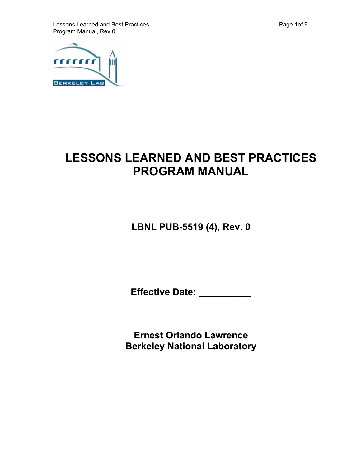Lessons Learned and Best Practices **Page 10** Page 1of 9 Program Manual, Rev 0



# **LESSONS LEARNED AND BEST PRACTICES PROGRAM MANUAL**

**LBNL PUB-5519 (4), Rev. 0** 

**Effective Date:** 

**Ernest Orlando Lawrence Berkeley National Laboratory**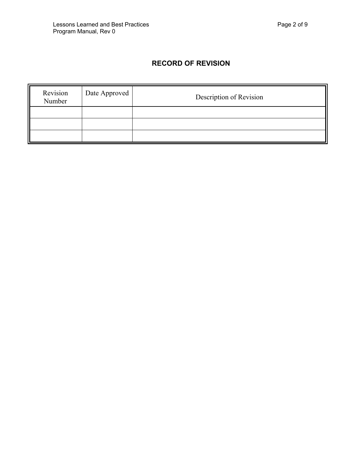### **RECORD OF REVISION**

| Revision<br>Number | Date Approved | Description of Revision |
|--------------------|---------------|-------------------------|
|                    |               |                         |
|                    |               |                         |
|                    |               |                         |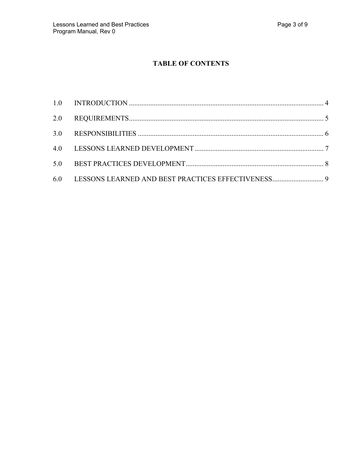### **TABLE OF CONTENTS**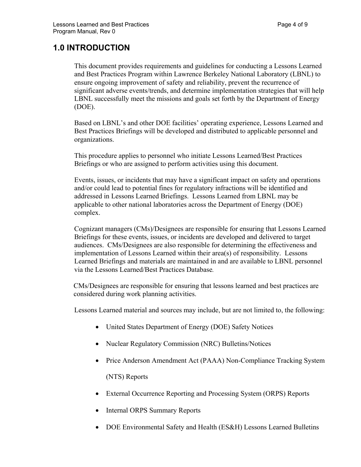### <span id="page-3-0"></span>**1.0 INTRODUCTION**

This document provides requirements and guidelines for conducting a Lessons Learned and Best Practices Program within Lawrence Berkeley National Laboratory (LBNL) to ensure ongoing improvement of safety and reliability, prevent the recurrence of significant adverse events/trends, and determine implementation strategies that will help LBNL successfully meet the missions and goals set forth by the Department of Energy (DOE).

Based on LBNL's and other DOE facilities' operating experience, Lessons Learned and Best Practices Briefings will be developed and distributed to applicable personnel and organizations.

This procedure applies to personnel who initiate Lessons Learned/Best Practices Briefings or who are assigned to perform activities using this document.

Events, issues, or incidents that may have a significant impact on safety and operations and/or could lead to potential fines for regulatory infractions will be identified and addressed in Lessons Learned Briefings. Lessons Learned from LBNL may be applicable to other national laboratories across the Department of Energy (DOE) complex.

Cognizant managers (CMs)/Designees are responsible for ensuring that Lessons Learned Briefings for these events, issues, or incidents are developed and delivered to target audiences. CMs/Designees are also responsible for determining the effectiveness and implementation of Lessons Learned within their area(s) of responsibility. Lessons Learned Briefings and materials are maintained in and are available to LBNL personnel via the Lessons Learned/Best Practices Database*.*

CMs/Designees are responsible for ensuring that lessons learned and best practices are considered during work planning activities.

Lessons Learned material and sources may include, but are not limited to, the following:

- United States Department of Energy (DOE) Safety Notices
- Nuclear Regulatory Commission (NRC) Bulletins/Notices
- Price Anderson Amendment Act (PAAA) Non-Compliance Tracking System

(NTS) Reports

- External Occurrence Reporting and Processing System (ORPS) Reports
- Internal ORPS Summary Reports
- DOE Environmental Safety and Health (ES&H) Lessons Learned Bulletins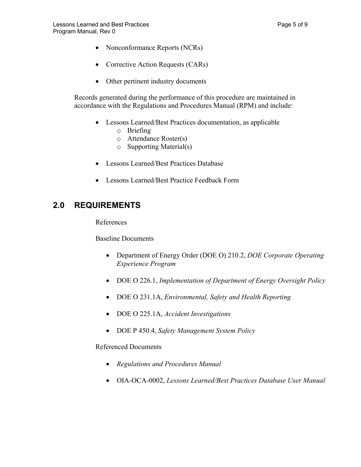- <span id="page-4-0"></span>• Nonconformance Reports (NCRs)
- Corrective Action Requests (CARs)
- Other pertinent industry documents

Records generated during the performance of this procedure are maintained in accordance with the Regulations and Procedures Manual (RPM) and include:

- Lessons Learned/Best Practices documentation, as applicable
	- o Briefing
	- o Attendance Roster(s)
	- o Supporting Material(s)
- Lessons Learned/Best Practices Database
- Lessons Learned/Best Practice Feedback Form

#### **2.0 REQUIREMENTS**

References

Baseline Documents

- Department of Energy Order (DOE O) 210.2, *DOE Corporate Operating Experience Program*
- DOE O 226.1, *Implementation of Department of Energy Oversight Policy*
- DOE O 231.1A, *Environmental, Safety and Health Reporting*
- DOE O 225.1A, *Accident Investigations*
- DOE P 450.4, *Safety Management System Policy*

Referenced Documents

- *Regulations and Procedures Manual*
- OIA-OCA-0002, *Lessons Learned/Best Practices Database User Manual*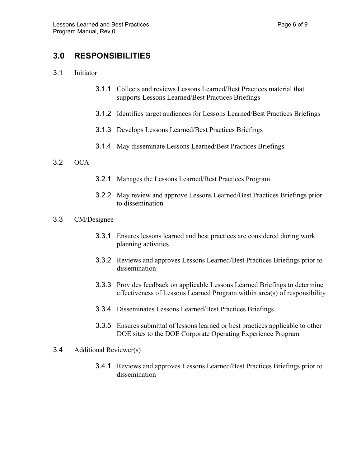- <span id="page-5-0"></span>3.1 Initiator
	- 3.1.1 Collects and reviews Lessons Learned/Best Practices material that supports Lessons Learned/Best Practices Briefings
	- 3.1.2 Identifies target audiences for Lessons Learned/Best Practices Briefings
	- 3.1.3 Develops Lessons Learned/Best Practices Briefings
	- 3.1.4 May disseminate Lessons Learned/Best Practices Briefings
- 3.2 OCA
- 3.2.1 Manages the Lessons Learned/Best Practices Program
- 3.2.2 May review and approve Lessons Learned/Best Practices Briefings prior to dissemination
- 3.3 CM/Designee
	- 3.3.1 Ensures lessons learned and best practices are considered during work planning activities
	- 3.3.2 Reviews and approves Lessons Learned/Best Practices Briefings prior to dissemination
	- 3.3.3 Provides feedback on applicable Lessons Learned Briefings to determine effectiveness of Lessons Learned Program within area(s) of responsibility
	- 3.3.4 Disseminates Lessons Learned/Best Practices Briefings
	- 3.3.5 Ensures submittal of lessons learned or best practices applicable to other DOE sites to the DOE Corporate Operating Experience Program
- 3.4 Additional Reviewer(s)
	- 3.4.1 Reviews and approves Lessons Learned/Best Practices Briefings prior to dissemination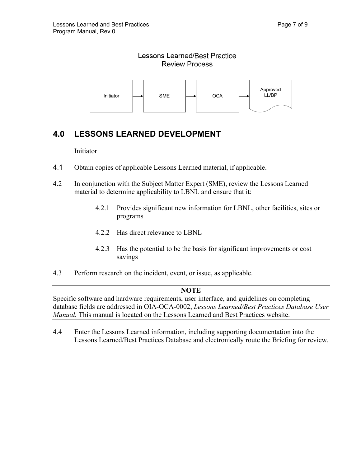### **Lessons Learned/Best Practice Review Process**

<span id="page-6-0"></span>

## **4.0 LESSONS LEARNED DEVELOPMENT**

Initiator

- 4.1 Obtain copies of applicable Lessons Learned material, if applicable.
- 4.2 In conjunction with the Subject Matter Expert (SME), review the Lessons Learned material to determine applicability to LBNL and ensure that it:
	- 4.2.1 Provides significant new information for LBNL, other facilities, sites or programs
	- 4.2.2 Has direct relevance to LBNL
	- 4.2.3 Has the potential to be the basis for significant improvements or cost savings
- 4.3 Perform research on the incident, event, or issue, as applicable.

#### **NOTE**

Specific software and hardware requirements, user interface, and guidelines on completing database fields are addressed in OIA-OCA-0002, *Lessons Learned/Best Practices Database User Manual.* This manual is located on the Lessons Learned and Best Practices website.

4.4 Enter the Lessons Learned information, including supporting documentation into the Lessons Learned/Best Practices Database and electronically route the Briefing for review.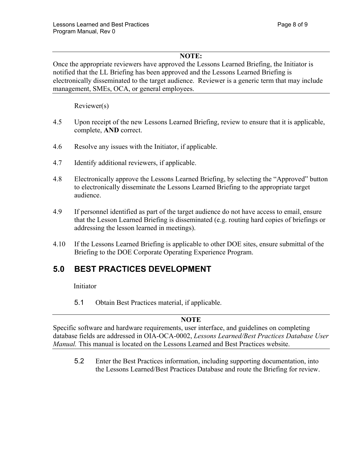### **NOTE:**

<span id="page-7-0"></span>Once the appropriate reviewers have approved the Lessons Learned Briefing, the Initiator is notified that the LL Briefing has been approved and the Lessons Learned Briefing is electronically disseminated to the target audience. Reviewer is a generic term that may include management, SMEs, OCA, or general employees.

Reviewer(s)

- 4.5 Upon receipt of the new Lessons Learned Briefing, review to ensure that it is applicable, complete, **AND** correct.
- 4.6 Resolve any issues with the Initiator, if applicable.
- 4.7 Identify additional reviewers, if applicable.
- 4.8 Electronically approve the Lessons Learned Briefing, by selecting the "Approved" button to electronically disseminate the Lessons Learned Briefing to the appropriate target audience.
- 4.9 If personnel identified as part of the target audience do not have access to email, ensure that the Lesson Learned Briefing is disseminated (e.g. routing hard copies of briefings or addressing the lesson learned in meetings).
- 4.10 If the Lessons Learned Briefing is applicable to other DOE sites, ensure submittal of the Briefing to the DOE Corporate Operating Experience Program.

### **5.0 BEST PRACTICES DEVELOPMENT**

Initiator

5.1 Obtain Best Practices material, if applicable.

**NOTE** 

Specific software and hardware requirements, user interface, and guidelines on completing database fields are addressed in OIA-OCA-0002, *Lessons Learned/Best Practices Database User Manual.* This manual is located on the Lessons Learned and Best Practices website.

5.2 Enter the Best Practices information, including supporting documentation, into the Lessons Learned/Best Practices Database and route the Briefing for review.